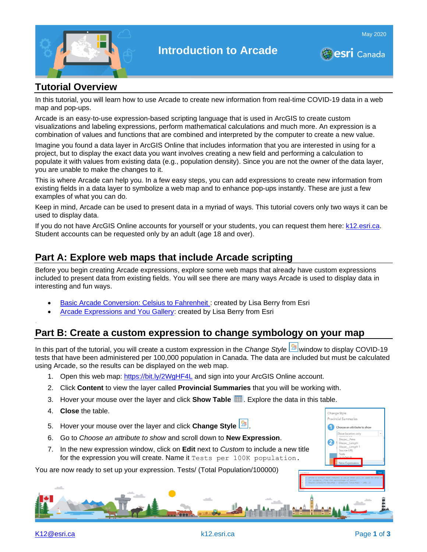



## **Tutorial Overview**

In this tutorial, you will learn how to use Arcade to create new information from real-time COVID-19 data in a web map and pop-ups.

Arcade is an easy-to-use expression-based scripting language that is used in ArcGIS to create custom visualizations and labeling expressions, perform mathematical calculations and much more. An expression is a combination of values and functions that are combined and interpreted by the computer to create a new value.

Imagine you found a data layer in ArcGIS Online that includes information that you are interested in using for a project, but to display the exact data you want involves creating a new field and performing a calculation to populate it with values from existing data (e.g., population density). Since you are not the owner of the data layer, you are unable to make the changes to it.

This is where Arcade can help you. In a few easy steps, you can add expressions to create new information from existing fields in a data layer to symbolize a web map and to enhance pop-ups instantly. These are just a few examples of what you can do.

Keep in mind, Arcade can be used to present data in a myriad of ways. This tutorial covers only two ways it can be used to display data.

If you do not have ArcGIS Online accounts for yourself or your students, you can request them here: [k12.esri.ca.](https://k12.esri.ca/) Student accounts can be requested only by an adult (age 18 and over).

## **Part A: Explore web maps that include Arcade scripting**

Before you begin creating Arcade expressions, explore some web maps that already have custom expressions included to present data from existing fields. You will see there are many ways Arcade is used to display data in interesting and fun ways.

- **[Basic Arcade Conversion: Celsius to Fahrenheit](https://www.arcgis.com/home/webmap/viewer.html?webmap=7f4a7e6454284bb4aff2958e82e55a43): created by Lisa Berry from Esri**
- [Arcade Expressions and You Gallery:](https://arcgis-content.maps.arcgis.com/apps/PublicGallery/index.html?appid=8951b538362b492cadadf7ede1b85c21) created by Lisa Berry from Esri

## **Part B: Create a custom expression to change symbology on your map**

In this part of the tutorial, you will create a custom expression in the *Change Style* window to display COVID-19 tests that have been administered per 100,000 population in Canada. The data are included but must be calculated using Arcade, so the results can be displayed on the web map.

- 1. Open this web map:<https://bit.ly/2WgHF4L> and sign into your ArcGIS Online account.
- 2. Click **Content** to view the layer called **Provincial Summaries** that you will be working with.
- 3. Hover your mouse over the layer and click **Show Table** . Explore the data in this table.
- 4. **Close** the table.
- 5. Hover your mouse over the layer and click **Change Style** .
- 6. Go to *Choose an attribute to show* and scroll down to **New Expression**.
- 7. In the new expression window, click on **Edit** next to *Custom* to include a new title for the expression you will create. Name it Tests per 100K population.

You are now ready to set up your expression. Tests/ (Total Population/100000)



Change Style vincial Summaries Choose an attribute to show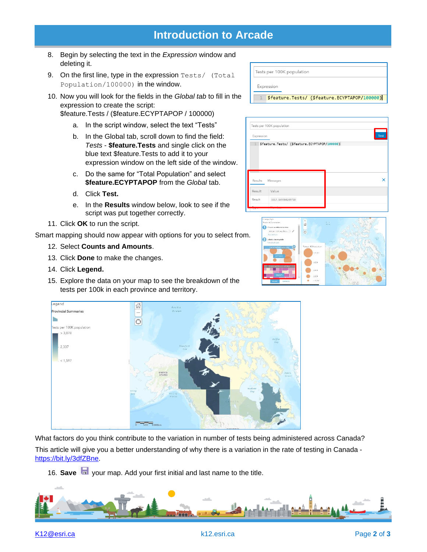# **Introduction to Arcade**

- 8. Begin by selecting the text in the *Expression* window and deleting it.
- 9. On the first line, type in the expression Tests/ (Total Population/100000) in the window.
- 10. Now you will look for the fields in the *Global tab* to fill in the expression to create the script:

\$feature.Tests / (\$feature.ECYPTAPOP / 100000)

- a. In the script window, select the text "Tests"
- b. In the Global tab, scroll down to find the field: *Tests* - **\$feature.Tests** and single click on the blue text \$feature.Tests to add it to your expression window on the left side of the window.
- c. Do the same for "Total Population" and select **\$feature.ECYPTAPOP** from the *Global* tab.
- d. Click **Test.**
- e. In the **Results** window below, look to see if the script was put together correctly.
- 11. Click **OK** to run the script.

Smart mapping should now appear with options for you to select from.

- 12. Select **Counts and Amounts**.
- 13. Click **Done** to make the changes.
- 14. Click **Legend.**
- 15. Explore the data on your map to see the breakdown of the tests per 100k in each province and territory.



| \$feature.Tests/ (\$feature.ECYPTAPOP/100000)<br>Messages<br>Value |                | Expression |  |  |
|--------------------------------------------------------------------|----------------|------------|--|--|
|                                                                    | $\overline{1}$ |            |  |  |
|                                                                    |                |            |  |  |
|                                                                    |                |            |  |  |
|                                                                    |                |            |  |  |
|                                                                    |                |            |  |  |
|                                                                    |                |            |  |  |
|                                                                    | Results        |            |  |  |
|                                                                    | Result         |            |  |  |
|                                                                    |                |            |  |  |





What factors do you think contribute to the variation in number of tests being administered across Canada?

This article will give you a better understanding of why there is a variation in the rate of testing in Canada [https://bit.ly/3dfZBne.](https://bit.ly/3dfZBne)

16. **Save** your map. Add your first initial and last name to the title.